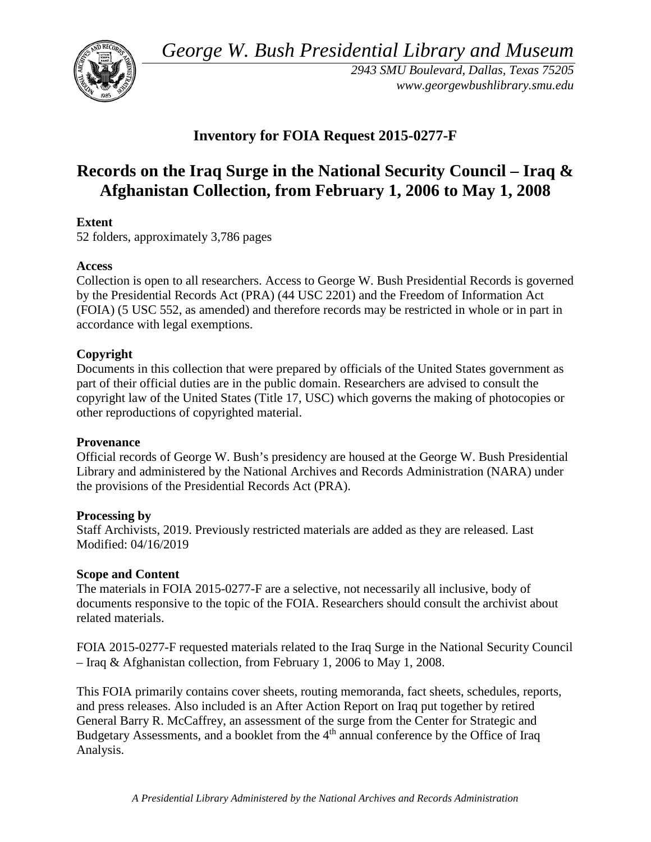*George W. Bush Presidential Library and Museum* 



 *2943 SMU Boulevard, Dallas, Texas 75205 <www.georgewbushlibrary.smu.edu>*

## **Inventory for FOIA Request 2015-0277-F**

## **Records on the Iraq Surge in the National Security Council – Iraq & Afghanistan Collection, from February 1, 2006 to May 1, 2008**

## **Extent**

52 folders, approximately 3,786 pages

## **Access**

 by the Presidential Records Act (PRA) (44 USC 2201) and the Freedom of Information Act Collection is open to all researchers. Access to George W. Bush Presidential Records is governed (FOIA) (5 USC 552, as amended) and therefore records may be restricted in whole or in part in accordance with legal exemptions.

## **Copyright**

 Documents in this collection that were prepared by officials of the United States government as part of their official duties are in the public domain. Researchers are advised to consult the copyright law of the United States (Title 17, USC) which governs the making of photocopies or other reproductions of copyrighted material.

#### **Provenance**

 Official records of George W. Bush's presidency are housed at the George W. Bush Presidential Library and administered by the National Archives and Records Administration (NARA) under the provisions of the Presidential Records Act (PRA).

#### **Processing by**

Staff Archivists, 2019. Previously restricted materials are added as they are released. Last Modified: 04/16/2019

#### **Scope and Content**

The materials in FOIA 2015-0277-F are a selective, not necessarily all inclusive, body of documents responsive to the topic of the FOIA. Researchers should consult the archivist about related materials.

FOIA 2015-0277-F requested materials related to the Iraq Surge in the National Security Council – Iraq & Afghanistan collection, from February 1, 2006 to May 1, 2008.

 This FOIA primarily contains cover sheets, routing memoranda, fact sheets, schedules, reports, Budgetary Assessments, and a booklet from the 4<sup>th</sup> annual conference by the Office of Iraq and press releases. Also included is an After Action Report on Iraq put together by retired General Barry R. McCaffrey, an assessment of the surge from the Center for Strategic and Analysis.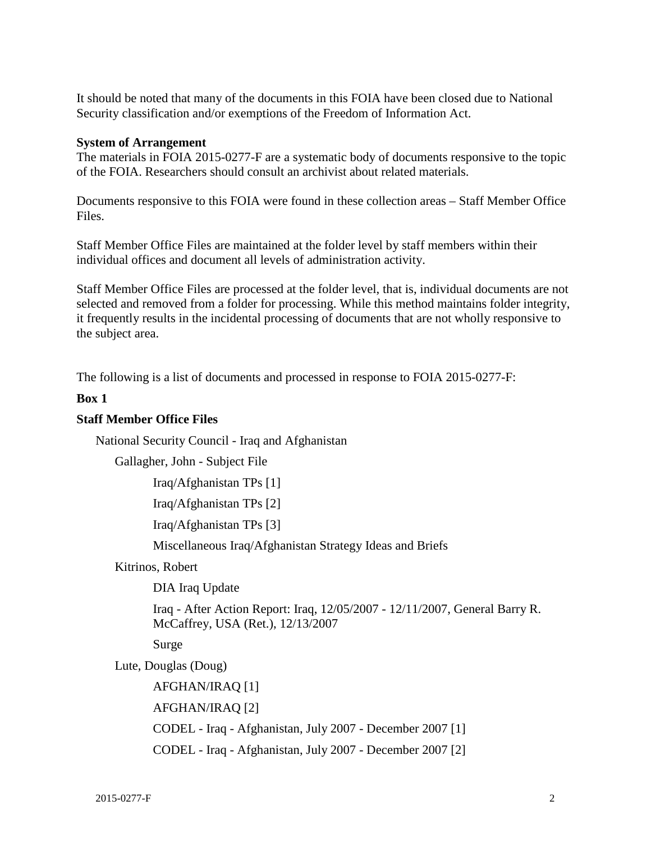Security classification and/or exemptions of the Freedom of Information Act. It should be noted that many of the documents in this FOIA have been closed due to National

#### **System of Arrangement**

 The materials in FOIA 2015-0277-F are a systematic body of documents responsive to the topic of the FOIA. Researchers should consult an archivist about related materials.

Documents responsive to this FOIA were found in these collection areas – Staff Member Office Files.

Staff Member Office Files are maintained at the folder level by staff members within their individual offices and document all levels of administration activity.

Staff Member Office Files are processed at the folder level, that is, individual documents are not selected and removed from a folder for processing. While this method maintains folder integrity, it frequently results in the incidental processing of documents that are not wholly responsive to the subject area.

The following is a list of documents and processed in response to FOIA 2015-0277-F:

#### **Box 1**

#### **Staff Member Office Files**

National Security Council - Iraq and Afghanistan

Gallagher, John - Subject File

Iraq/Afghanistan TPs [1]

Iraq/Afghanistan TPs [2]

Iraq/Afghanistan TPs [3]

Miscellaneous Iraq/Afghanistan Strategy Ideas and Briefs

#### Kitrinos, Robert

DIA Iraq Update

 Iraq - After Action Report: Iraq, 12/05/2007 - 12/11/2007, General Barry R. McCaffrey, USA (Ret.), 12/13/2007

Surge

Lute, Douglas (Doug)

 CODEL - Iraq - Afghanistan, July 2007 - December 2007 [2] AFGHAN/IRAQ [1] AFGHAN/IRAQ [2] CODEL - Iraq - Afghanistan, July 2007 - December 2007 [1]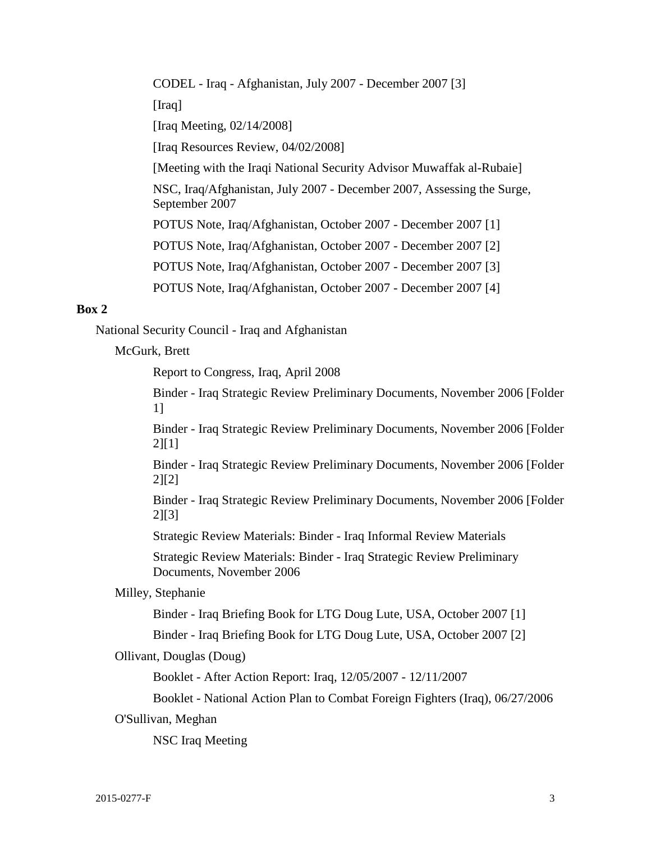CODEL - Iraq - Afghanistan, July 2007 - December 2007 [3] [Iraq] [Iraq Meeting, 02/14/2008] [Iraq Resources Review, 04/02/2008] [Meeting with the Iraqi National Security Advisor Muwaffak al-Rubaie] NSC, Iraq/Afghanistan, July 2007 - December 2007, Assessing the Surge, September 2007 POTUS Note, Iraq/Afghanistan, October 2007 - December 2007 [1] POTUS Note, Iraq/Afghanistan, October 2007 - December 2007 [2] POTUS Note, Iraq/Afghanistan, October 2007 - December 2007 [3] POTUS Note, Iraq/Afghanistan, October 2007 - December 2007 [4]

#### **Box 2**

National Security Council - Iraq and Afghanistan

McGurk, Brett

Report to Congress, Iraq, April 2008

 Binder - Iraq Strategic Review Preliminary Documents, November 2006 [Folder 1]

 Binder - Iraq Strategic Review Preliminary Documents, November 2006 [Folder 2][1]

 Binder - Iraq Strategic Review Preliminary Documents, November 2006 [Folder 2][2]

 Binder - Iraq Strategic Review Preliminary Documents, November 2006 [Folder 2][3]

Strategic Review Materials: Binder - Iraq Informal Review Materials

Strategic Review Materials: Binder - Iraq Strategic Review Preliminary Documents, November 2006

#### Milley, Stephanie

Binder - Iraq Briefing Book for LTG Doug Lute, USA, October 2007 [1]

Binder - Iraq Briefing Book for LTG Doug Lute, USA, October 2007 [2]

#### Ollivant, Douglas (Doug)

Booklet - After Action Report: Iraq, 12/05/2007 - 12/11/2007

Booklet - National Action Plan to Combat Foreign Fighters (Iraq), 06/27/2006

O'Sullivan, Meghan

NSC Iraq Meeting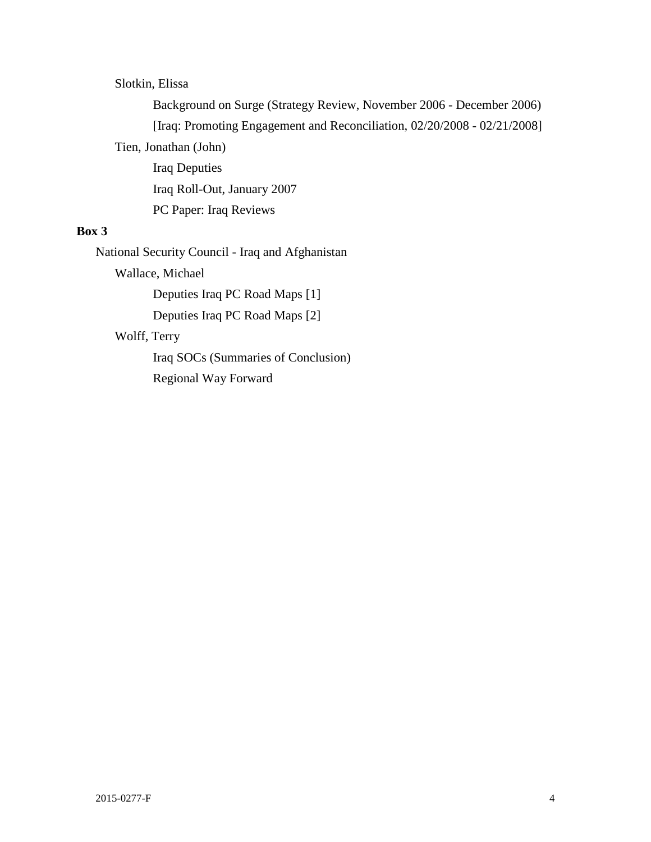## Slotkin, Elissa

 [Iraq: Promoting Engagement and Reconciliation, 02/20/2008 - 02/21/2008] Background on Surge (Strategy Review, November 2006 - December 2006) Tien, Jonathan (John) Iraq Deputies Iraq Roll-Out, January 2007

PC Paper: Iraq Reviews

## **Box 3**

National Security Council - Iraq and Afghanistan

Wallace, Michael

Deputies Iraq PC Road Maps [1]

Deputies Iraq PC Road Maps [2]

## Wolff, Terry

Iraq SOCs (Summaries of Conclusion) Regional Way Forward